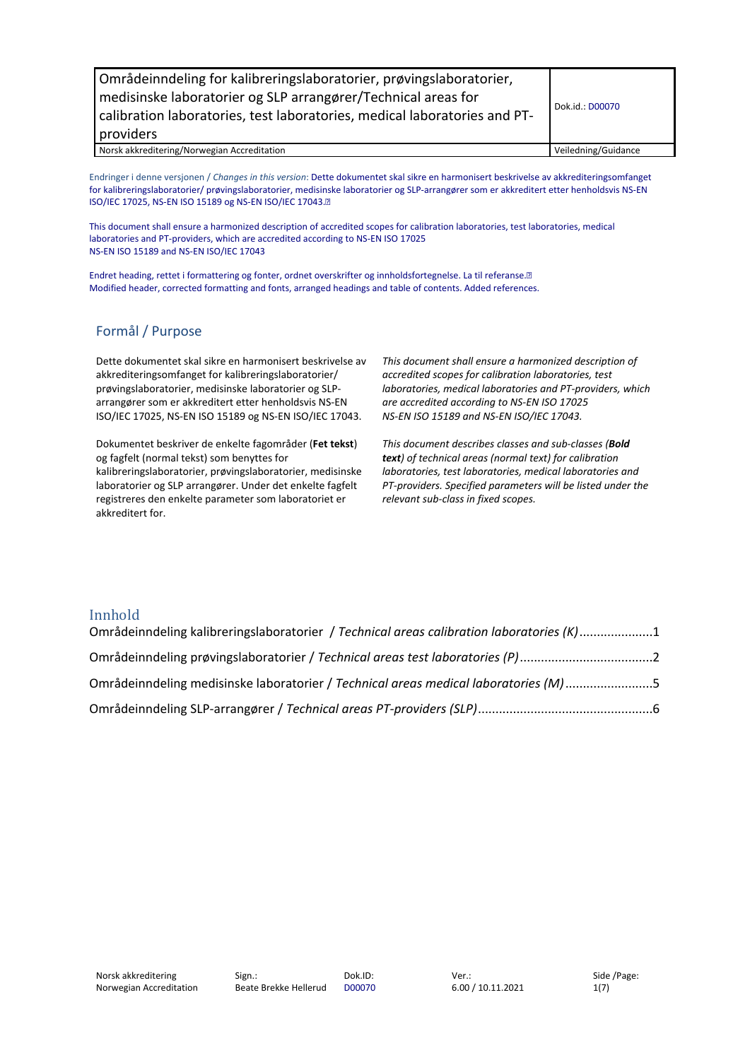| Områdeinndeling for kalibreringslaboratorier, prøvingslaboratorier,<br>medisinske laboratorier og SLP arrangører/Technical areas for<br>calibration laboratories, test laboratories, medical laboratories and PT-<br>providers | Dok.id.: D00070     |
|--------------------------------------------------------------------------------------------------------------------------------------------------------------------------------------------------------------------------------|---------------------|
| Norsk akkreditering/Norwegian Accreditation                                                                                                                                                                                    | Veiledning/Guidance |

Endringer i denne versjonen / *Changes in this version*: Dette dokumentet skal sikre en harmonisert beskrivelse av akkrediteringsomfanget for kalibreringslaboratorier/ prøvingslaboratorier, medisinske laboratorier og SLP-arrangører som er akkreditert etter henholdsvis NS-EN ISO/IEC 17025, NS-EN ISO 15189 og NS-EN ISO/IEC 17043.

This document shall ensure a harmonized description of accredited scopes for calibration laboratories, test laboratories, medical laboratories and PT-providers, which are accredited according to NS-EN ISO 17025 NS-EN ISO 15189 and NS-EN ISO/IEC 17043

Endret heading, rettet i formattering og fonter, ordnet overskrifter og innholdsfortegnelse. La til referanse. Modified header, corrected formatting and fonts, arranged headings and table of contents. Added references.

#### Formål / Purpose

Dette dokumentet skal sikre en harmonisert beskrivelse av akkrediteringsomfanget for kalibreringslaboratorier/ prøvingslaboratorier, medisinske laboratorier og SLParrangører som er akkreditert etter henholdsvis NS-EN ISO/IEC 17025, NS-EN ISO 15189 og NS-EN ISO/IEC 17043.

Dokumentet beskriver de enkelte fagområder (**Fet tekst**) og fagfelt (normal tekst) som benyttes for kalibreringslaboratorier, prøvingslaboratorier, medisinske laboratorier og SLP arrangører. Under det enkelte fagfelt registreres den enkelte parameter som laboratoriet er akkreditert for.

*This document shall ensure a harmonized description of accredited scopes for calibration laboratories, test laboratories, medical laboratories and PT-providers, which are accredited according to NS-EN ISO 17025 NS-EN ISO 15189 and NS-EN ISO/IEC 17043.*

*This document describes classes and sub-classes (Bold text) of technical areas (normal text) for calibration laboratories, test laboratories, medical laboratories and PT-providers. Specified parameters will be listed under the relevant sub-class in fixed scopes.*

#### Innhold

| Områdeinndeling kalibreringslaboratorier / Technical areas calibration laboratories (K)1 |  |
|------------------------------------------------------------------------------------------|--|
| Områdeinndeling prøvingslaboratorier / Technical areas test laboratories (P)2            |  |
| Områdeinndeling medisinske laboratorier / Technical areas medical laboratories (M)5      |  |
|                                                                                          |  |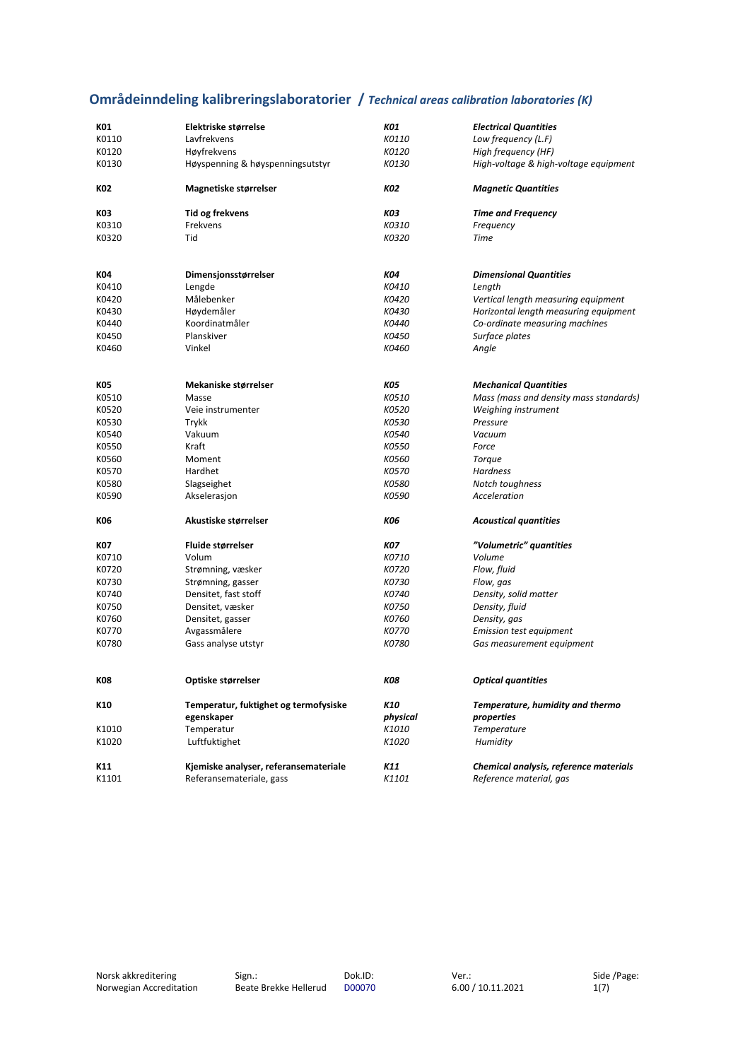# <span id="page-1-0"></span>**Områdeinndeling kalibreringslaboratorier /** *Technical areas calibration laboratories (K)*

| K01        | Elektriske størrelse                  | K01        | <b>Electrical Quantities</b>           |
|------------|---------------------------------------|------------|----------------------------------------|
| K0110      | Lavfrekvens                           | K0110      | Low frequency (L.F)                    |
| K0120      | Høyfrekvens                           | K0120      | High frequency (HF)                    |
| K0130      | Høyspenning & høyspenningsutstyr      | K0130      | High-voltage & high-voltage equipment  |
| K02        | Magnetiske størrelser                 | K02        | <b>Magnetic Quantities</b>             |
| K03        | Tid og frekvens                       | КОЗ        | <b>Time and Frequency</b>              |
| K0310      | Frekvens                              | K0310      | Frequency                              |
| K0320      | Tid                                   | K0320      | Time                                   |
| K04        | Dimensjonsstørrelser                  | K04        | <b>Dimensional Quantities</b>          |
| K0410      | Lengde                                | K0410      | Length                                 |
| K0420      | Målebenker                            | K0420      | Vertical length measuring equipment    |
| K0430      | Høydemåler                            | K0430      | Horizontal length measuring equipment  |
| K0440      | Koordinatmåler                        | K0440      |                                        |
|            | Planskiver                            |            | Co-ordinate measuring machines         |
| K0450      |                                       | K0450      | Surface plates                         |
| K0460      | Vinkel                                | K0460      | Angle                                  |
| K05        | Mekaniske størrelser                  | <b>KO5</b> | <b>Mechanical Quantities</b>           |
| K0510      | Masse                                 | K0510      | Mass (mass and density mass standards) |
| K0520      | Veie instrumenter                     | K0520      | Weighing instrument                    |
| K0530      | Trykk                                 | K0530      | Pressure                               |
| K0540      | Vakuum                                | K0540      | Vacuum                                 |
| K0550      | Kraft                                 | K0550      | Force                                  |
| K0560      | Moment                                | K0560      | <b>Torque</b>                          |
| K0570      | Hardhet                               | K0570      | Hardness                               |
| K0580      | Slagseighet                           | K0580      | Notch toughness                        |
| K0590      | Akselerasjon                          | K0590      | Acceleration                           |
| K06        | Akustiske størrelser                  | <b>KO6</b> | <b>Acoustical quantities</b>           |
| K07        | Fluide størrelser                     | <b>KO7</b> | "Volumetric" quantities                |
| K0710      | Volum                                 | K0710      | Volume                                 |
| K0720      | Strømning, væsker                     | K0720      | Flow, fluid                            |
| K0730      | Strømning, gasser                     | K0730      | Flow, gas                              |
| K0740      | Densitet, fast stoff                  | K0740      | Density, solid matter                  |
| K0750      | Densitet, væsker                      | K0750      | Density, fluid                         |
| K0760      | Densitet, gasser                      | K0760      | Density, gas                           |
| K0770      | Avgassmålere                          | K0770      | <b>Emission test equipment</b>         |
| K0780      | Gass analyse utstyr                   | K0780      | Gas measurement equipment              |
| <b>K08</b> | Optiske størrelser                    | K08        | <b>Optical quantities</b>              |
| K10        | Temperatur, fuktighet og termofysiske | K10        | Temperature, humidity and thermo       |
|            | egenskaper                            | physical   | properties                             |
| K1010      | Temperatur                            | K1010      | Temperature                            |
| K1020      | Luftfuktighet                         | K1020      | Humidity                               |
| K11        | Kjemiske analyser, referansemateriale | K11        | Chemical analysis, reference materials |
| K1101      | Referansemateriale, gass              | K1101      | Reference material, gas                |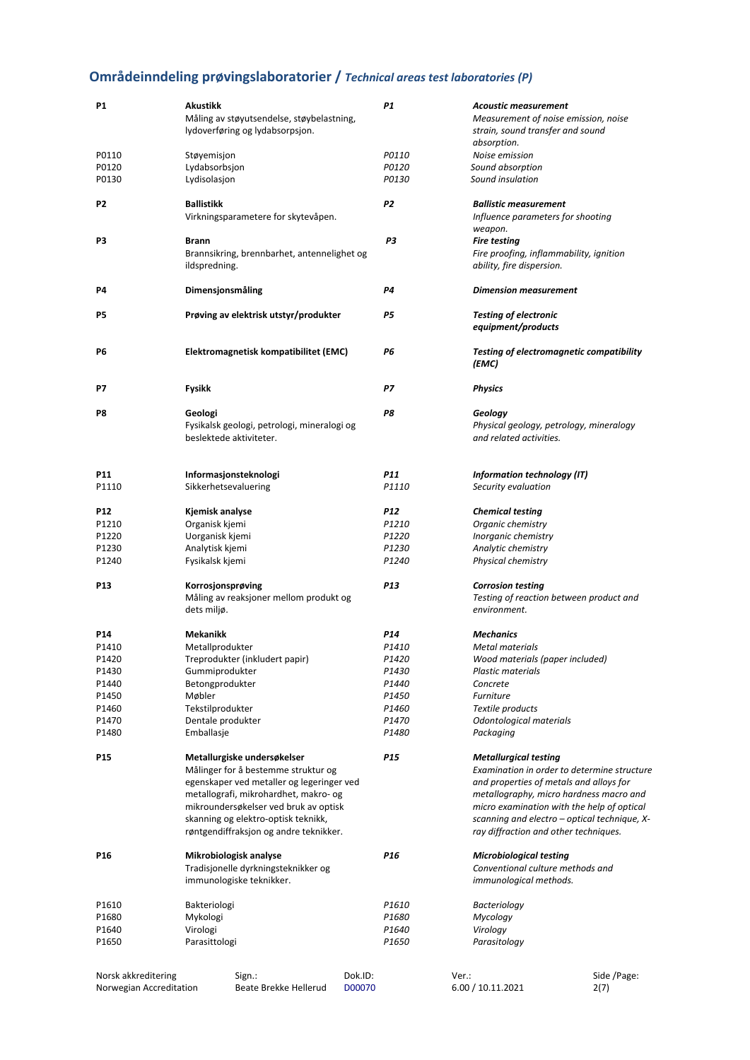# <span id="page-2-0"></span>**Områdeinndeling prøvingslaboratorier /** *Technical areas test laboratories (P)*

| <b>P1</b>           | Akustikk<br>Måling av støyutsendelse, støybelastning,                             |         | P1                |       | <b>Acoustic measurement</b><br>Measurement of noise emission, noise                   |
|---------------------|-----------------------------------------------------------------------------------|---------|-------------------|-------|---------------------------------------------------------------------------------------|
|                     | lydoverføring og lydabsorpsjon.                                                   |         |                   |       | strain, sound transfer and sound                                                      |
| P0110               | Støyemisjon                                                                       |         | P0110             |       | absorption.<br>Noise emission                                                         |
| P0120               | Lydabsorbsjon                                                                     |         | P0120             |       | Sound absorption                                                                      |
| P0130               | Lydisolasjon                                                                      |         | P0130             |       | Sound insulation                                                                      |
| P <sub>2</sub>      | <b>Ballistikk</b>                                                                 |         | P2                |       | <b>Ballistic measurement</b>                                                          |
|                     | Virkningsparametere for skytevåpen.                                               |         |                   |       | Influence parameters for shooting                                                     |
|                     |                                                                                   |         |                   |       | weapon.                                                                               |
| P3                  | <b>Brann</b>                                                                      |         | P3                |       | <b>Fire testing</b>                                                                   |
|                     | Brannsikring, brennbarhet, antennelighet og<br>ildspredning.                      |         |                   |       | Fire proofing, inflammability, ignition<br>ability, fire dispersion.                  |
| P4                  | Dimensjonsmåling                                                                  |         | <b>P4</b>         |       | <b>Dimension measurement</b>                                                          |
| P5                  | Prøving av elektrisk utstyr/produkter                                             |         | <b>P5</b>         |       | <b>Testing of electronic</b><br>equipment/products                                    |
| P6                  | Elektromagnetisk kompatibilitet (EMC)                                             |         | Р6                |       | <b>Testing of electromagnetic compatibility</b><br>(EMC)                              |
| P7                  | Fysikk                                                                            |         | Р7                |       | <b>Physics</b>                                                                        |
| P8                  | Geologi<br>Fysikalsk geologi, petrologi, mineralogi og<br>beslektede aktiviteter. |         | P8                |       | Geology<br>Physical geology, petrology, mineralogy<br>and related activities.         |
|                     |                                                                                   |         |                   |       |                                                                                       |
| P11<br>P1110        | Informasjonsteknologi<br>Sikkerhetsevaluering                                     |         | P11<br>P1110      |       | Information technology (IT)<br>Security evaluation                                    |
| <b>P12</b>          | Kjemisk analyse                                                                   |         | <b>P12</b>        |       | <b>Chemical testing</b>                                                               |
| P1210               | Organisk kjemi                                                                    |         | P1210             |       | Organic chemistry                                                                     |
| P1220               | Uorganisk kjemi                                                                   |         | P1220             |       | Inorganic chemistry                                                                   |
| P1230               | Analytisk kjemi                                                                   |         | P1230             |       | Analytic chemistry                                                                    |
| P1240               | Fysikalsk kjemi                                                                   |         | P1240             |       | Physical chemistry                                                                    |
| P <sub>13</sub>     | Korrosjonsprøving                                                                 |         | P <sub>13</sub>   |       | <b>Corrosion testing</b>                                                              |
|                     | Måling av reaksjoner mellom produkt og<br>dets miljø.                             |         |                   |       | Testing of reaction between product and<br>environment.                               |
| P14                 | Mekanikk                                                                          |         | P14               |       | <b>Mechanics</b>                                                                      |
| P1410               | Metallprodukter                                                                   |         | P1410             |       | Metal materials                                                                       |
| P1420               | Treprodukter (inkludert papir)                                                    |         | P1420             |       | Wood materials (paper included)                                                       |
| P1430               | Gummiprodukter                                                                    |         | P1430             |       | <b>Plastic materials</b>                                                              |
| P1440               | Betongprodukter                                                                   |         | P1440             |       | Concrete                                                                              |
| P1450               | Møbler                                                                            |         | P1450             |       | <b>Furniture</b>                                                                      |
| P1460<br>P1470      | Tekstilprodukter<br>Dentale produkter                                             |         | P1460<br>P1470    |       | Textile products<br>Odontological materials                                           |
| P1480               | Emballasje                                                                        |         | P1480             |       | Packaging                                                                             |
| P <sub>15</sub>     | Metallurgiske undersøkelser                                                       |         | P <sub>15</sub>   |       | <b>Metallurgical testing</b>                                                          |
|                     | Målinger for å bestemme struktur og                                               |         |                   |       | Examination in order to determine structure                                           |
|                     | egenskaper ved metaller og legeringer ved                                         |         |                   |       | and properties of metals and alloys for                                               |
|                     | metallografi, mikrohardhet, makro- og                                             |         |                   |       | metallography, micro hardness macro and                                               |
|                     | mikroundersøkelser ved bruk av optisk                                             |         |                   |       | micro examination with the help of optical                                            |
|                     | skanning og elektro-optisk teknikk,<br>røntgendiffraksjon og andre teknikker.     |         |                   |       | scanning and electro - optical technique, X-<br>ray diffraction and other techniques. |
| P <sub>16</sub>     | Mikrobiologisk analyse                                                            |         | P <sub>16</sub>   |       | <b>Microbiological testing</b>                                                        |
|                     | Tradisjonelle dyrkningsteknikker og<br>immunologiske teknikker.                   |         |                   |       | Conventional culture methods and<br>immunological methods.                            |
| P1610               | Bakteriologi                                                                      |         | P1610             |       | <b>Bacteriology</b>                                                                   |
| P1680               | Mykologi                                                                          |         | P1680             |       | Mycology                                                                              |
| P1640               | Virologi                                                                          |         | P1640             |       | Virology                                                                              |
| P1650               | Parasittologi                                                                     |         | P <sub>1650</sub> |       | Parasitology                                                                          |
|                     |                                                                                   |         |                   |       |                                                                                       |
| Norsk akkreditering | Sign.:                                                                            | Dok.ID: |                   | Ver.: | Side /Page:                                                                           |

Norsk akkreditering Norwegian Accreditation

Beate Brekke Hellerud

Dok.ID: D00070

6.00 / 10.11.2021

Side /Page: 2(7)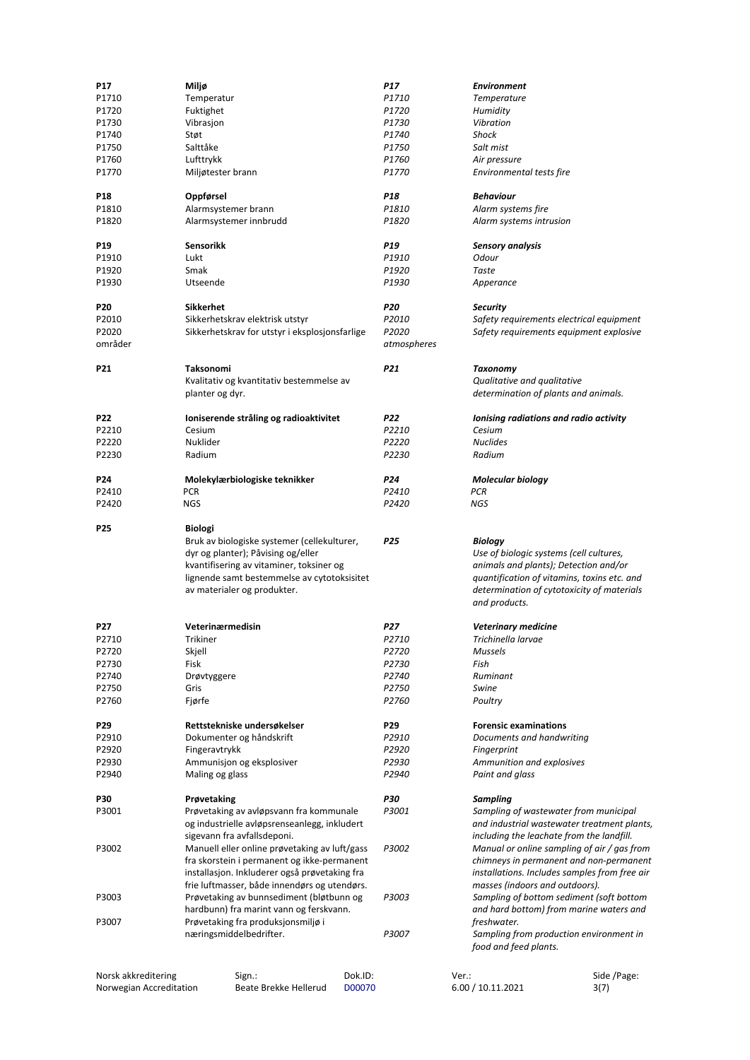| P17                 | Miljø                                          | P17         | <b>Environment</b>                            |
|---------------------|------------------------------------------------|-------------|-----------------------------------------------|
| P1710               | Temperatur                                     | P1710       | <b>Temperature</b>                            |
| P1720               | Fuktighet                                      | P1720       | Humidity                                      |
| P1730               | Vibrasjon                                      | P1730       | Vibration                                     |
|                     |                                                |             |                                               |
| P1740               | Støt                                           | P1740       | Shock                                         |
| P1750               | Salttåke                                       | P1750       | Salt mist                                     |
| P1760               | Lufttrykk                                      | P1760       | Air pressure                                  |
| P1770               | Miljøtester brann                              | P1770       | Environmental tests fire                      |
| P18                 | Oppførsel                                      | P18         | <b>Behaviour</b>                              |
| P1810               | Alarmsystemer brann                            | P1810       | Alarm systems fire                            |
| P1820               | Alarmsystemer innbrudd                         | P1820       | Alarm systems intrusion                       |
|                     |                                                |             |                                               |
| P19                 | Sensorikk                                      | <b>P19</b>  | <b>Sensory analysis</b>                       |
| P1910               | Lukt                                           | P1910       | Odour                                         |
| P1920               | Smak                                           | P1920       | Taste                                         |
| P1930               | Utseende                                       | P1930       | Apperance                                     |
|                     |                                                |             |                                               |
| <b>P20</b>          | <b>Sikkerhet</b>                               | <b>P20</b>  | <b>Security</b>                               |
| P2010               | Sikkerhetskrav elektrisk utstyr                | P2010       | Safety requirements electrical equipment      |
| P2020               | Sikkerhetskrav for utstyr i eksplosjonsfarlige | P2020       | Safety requirements equipment explosive       |
|                     |                                                |             |                                               |
| områder             |                                                | atmospheres |                                               |
| P21                 | Taksonomi                                      | P21         | <b>Taxonomy</b>                               |
|                     |                                                |             |                                               |
|                     | Kvalitativ og kvantitativ bestemmelse av       |             | Qualitative and qualitative                   |
|                     | planter og dyr.                                |             | determination of plants and animals.          |
| <b>P22</b>          |                                                | <b>P22</b>  |                                               |
|                     | Ioniserende stråling og radioaktivitet         |             | Ionising radiations and radio activity        |
| P2210               | Cesium                                         | P2210       | Cesium                                        |
| P2220               | Nuklider                                       | P2220       | <b>Nuclides</b>                               |
| P2230               | Radium                                         | P2230       | Radium                                        |
|                     |                                                |             |                                               |
| P24                 | Molekylærbiologiske teknikker                  | P24         | <b>Molecular biology</b>                      |
| P2410               | <b>PCR</b>                                     | P2410       | <b>PCR</b>                                    |
| P2420               | <b>NGS</b>                                     | P2420       | NGS                                           |
|                     |                                                |             |                                               |
| P <sub>25</sub>     | <b>Biologi</b>                                 |             |                                               |
|                     | Bruk av biologiske systemer (cellekulturer,    | <b>P25</b>  | <b>Biology</b>                                |
|                     | dyr og planter); Påvising og/eller             |             | Use of biologic systems (cell cultures,       |
|                     | kvantifisering av vitaminer, toksiner og       |             | animals and plants); Detection and/or         |
|                     | lignende samt bestemmelse av cytotoksisitet    |             | quantification of vitamins, toxins etc. and   |
|                     | av materialer og produkter.                    |             | determination of cytotoxicity of materials    |
|                     |                                                |             | and products.                                 |
|                     |                                                |             |                                               |
| P27                 | Veterinærmedisin                               | <b>P27</b>  | <b>Veterinary medicine</b>                    |
| P2710               | <b>Trikiner</b>                                | P2710       | Trichinella larvae                            |
| P2720               | Skjell                                         | P2720       | <b>Mussels</b>                                |
| P2730               | Fisk                                           | P2730       | Fish                                          |
| P2740               | Drøvtyggere                                    | P2740       | Ruminant                                      |
| P2750               | Gris                                           | P2750       | Swine                                         |
| P2760               | Fjørfe                                         | P2760       | Poultry                                       |
|                     |                                                |             |                                               |
| P29                 | Rettstekniske undersøkelser                    | P29         | <b>Forensic examinations</b>                  |
| P2910               | Dokumenter og håndskrift                       | P2910       | Documents and handwriting                     |
|                     |                                                | P2920       |                                               |
| P2920               | Fingeravtrykk                                  |             | Fingerprint                                   |
| P2930               | Ammunisjon og eksplosiver                      | P2930       | Ammunition and explosives                     |
| P2940               | Maling og glass                                | P2940       | Paint and glass                               |
|                     |                                                | <b>P30</b>  |                                               |
| P30                 | Prøvetaking                                    |             | Sampling                                      |
| P3001               | Prøvetaking av avløpsvann fra kommunale        | P3001       | Sampling of wastewater from municipal         |
|                     | og industrielle avløpsrenseanlegg, inkludert   |             | and industrial wastewater treatment plants,   |
|                     | sigevann fra avfallsdeponi.                    |             | including the leachate from the landfill.     |
| P3002               | Manuell eller online prøvetaking av luft/gass  | P3002       | Manual or online sampling of air / gas from   |
|                     | fra skorstein i permanent og ikke-permanent    |             | chimneys in permanent and non-permanent       |
|                     | installasjon. Inkluderer også prøvetaking fra  |             | installations. Includes samples from free air |
|                     | frie luftmasser, både innendørs og utendørs.   |             | masses (indoors and outdoors).                |
| P3003               | Prøvetaking av bunnsediment (bløtbunn og       | P3003       | Sampling of bottom sediment (soft bottom      |
|                     | hardbunn) fra marint vann og ferskvann.        |             | and hard bottom) from marine waters and       |
| P3007               | Prøvetaking fra produksjonsmiljø i             |             | freshwater.                                   |
|                     | næringsmiddelbedrifter.                        | P3007       | Sampling from production environment in       |
|                     |                                                |             | food and feed plants.                         |
|                     |                                                |             |                                               |
| Norsk akkreditering | Dok.ID:<br>Sign.:                              |             | Side /Page:<br>Ver.:                          |
|                     |                                                |             |                                               |

Norwegian Accreditation

Beate Brekke Hellerud

D00070

6.00 / 10.11.2021

3(7)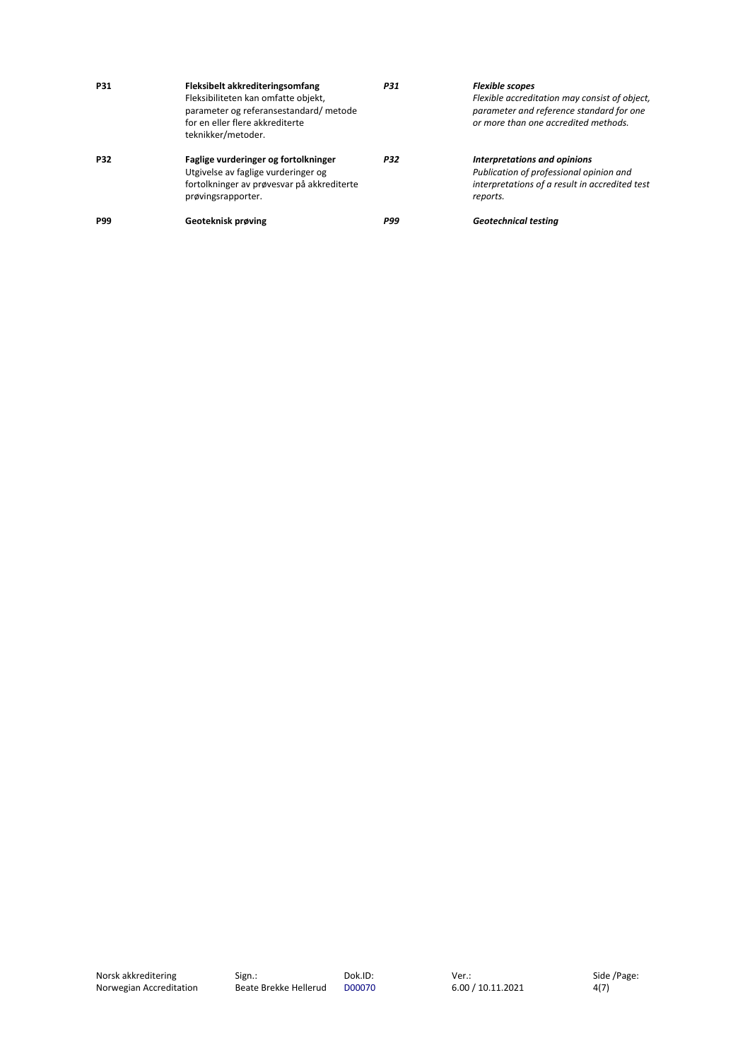| <b>P31</b> | Fleksibelt akkrediteringsomfang<br>Fleksibiliteten kan omfatte objekt,<br>parameter og referansestandard/metode<br>for en eller flere akkrediterte<br>teknikker/metoder. | <b>P31</b> | <b>Flexible scopes</b><br>Flexible accreditation may consist of object,<br>parameter and reference standard for one<br>or more than one accredited methods. |
|------------|--------------------------------------------------------------------------------------------------------------------------------------------------------------------------|------------|-------------------------------------------------------------------------------------------------------------------------------------------------------------|
| <b>P32</b> | Faglige vurderinger og fortolkninger<br>Utgivelse av faglige vurderinger og<br>fortolkninger av prøvesvar på akkrediterte<br>prøvingsrapporter.                          | <b>P32</b> | Interpretations and opinions<br>Publication of professional opinion and<br>interpretations of a result in accredited test<br>reports.                       |
| <b>P99</b> | Geoteknisk prøving                                                                                                                                                       | <b>P99</b> | <b>Geotechnical testing</b>                                                                                                                                 |

Side /Page:  $4(7)$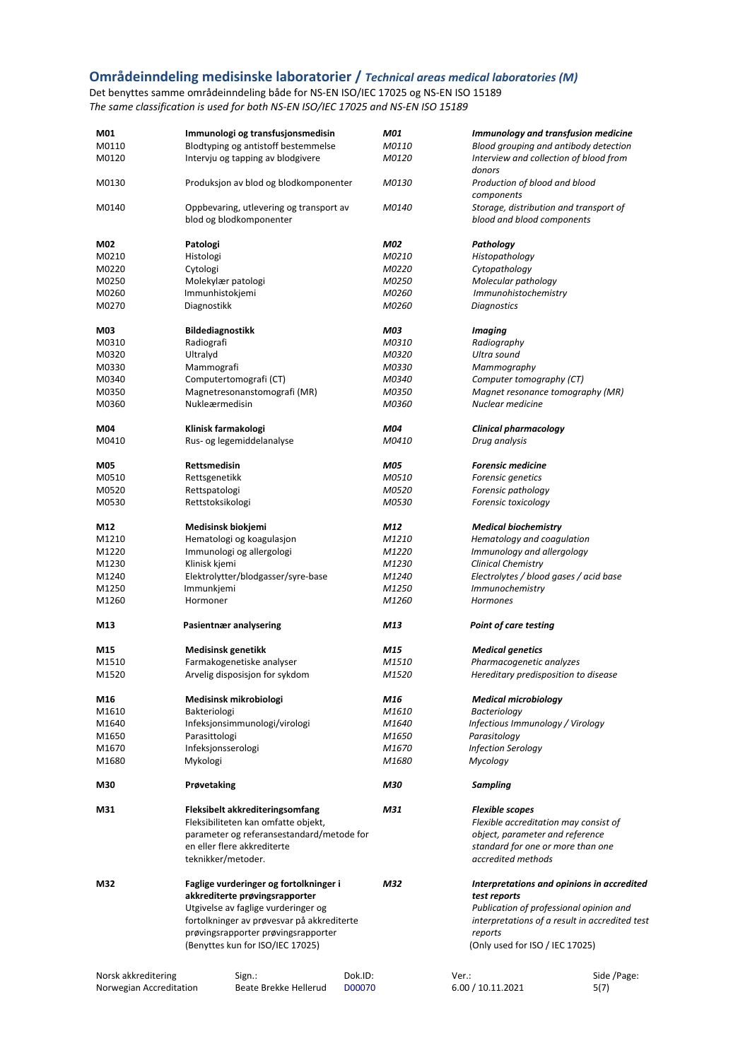#### <span id="page-5-0"></span>**Områdeinndeling medisinske laboratorier /** *Technical areas medical laboratories (M)*

Det benyttes samme områdeinndeling både for NS-EN ISO/IEC 17025 og NS-EN ISO 15189 *The same classification is used for both NS-EN ISO/IEC 17025 and NS-EN ISO 15189*

| M01                     | Immunologi og transfusjonsmedisin                |         | M01          | <b>Immunology and transfusion medicine</b>       |                                                |
|-------------------------|--------------------------------------------------|---------|--------------|--------------------------------------------------|------------------------------------------------|
| M0110                   | Blodtyping og antistoff bestemmelse              |         | M0110        | Blood grouping and antibody detection            |                                                |
| M0120                   | Intervju og tapping av blodgivere                |         | M0120        | Interview and collection of blood from<br>donors |                                                |
| M0130                   | Produksjon av blod og blodkomponenter            |         | M0130        | Production of blood and blood<br>components      |                                                |
| M0140                   | Oppbevaring, utlevering og transport av          |         | M0140        | Storage, distribution and transport of           |                                                |
|                         | blod og blodkomponenter                          |         |              | blood and blood components                       |                                                |
| M02                     | Patologi                                         |         | <b>M02</b>   | Pathology                                        |                                                |
| M0210                   | Histologi                                        |         | M0210        | Histopathology                                   |                                                |
| M0220                   | Cytologi                                         |         | M0220        | Cytopathology                                    |                                                |
| M0250                   | Molekylær patologi                               |         | M0250        | Molecular pathology                              |                                                |
| M0260                   | Immunhistokjemi                                  |         | M0260        | Immunohistochemistry                             |                                                |
| M0270                   | Diagnostikk                                      |         | M0260        | <b>Diagnostics</b>                               |                                                |
|                         |                                                  |         |              |                                                  |                                                |
| M03                     | <b>Bildediagnostikk</b>                          |         | <b>M03</b>   | <b>Imaging</b>                                   |                                                |
| M0310                   | Radiografi                                       |         | M0310        | Radiography                                      |                                                |
| M0320                   | Ultralyd                                         |         | M0320        | Ultra sound                                      |                                                |
| M0330                   | Mammografi                                       |         | M0330        | Mammography                                      |                                                |
| M0340                   | Computertomografi (CT)                           |         | M0340        | Computer tomography (CT)                         |                                                |
| M0350                   | Magnetresonanstomografi (MR)                     |         | M0350        | Magnet resonance tomography (MR)                 |                                                |
| M0360                   | Nukleærmedisin                                   |         | M0360        | Nuclear medicine                                 |                                                |
|                         |                                                  |         |              |                                                  |                                                |
| M04<br>M0410            | Klinisk farmakologi<br>Rus- og legemiddelanalyse |         | M04<br>M0410 | Clinical pharmacology<br>Drug analysis           |                                                |
|                         |                                                  |         |              |                                                  |                                                |
| <b>M05</b>              | <b>Rettsmedisin</b>                              |         | <b>M05</b>   | <b>Forensic medicine</b>                         |                                                |
| M0510                   | Rettsgenetikk                                    |         | M0510        | Forensic genetics                                |                                                |
| M0520                   | Rettspatologi                                    |         | M0520        | Forensic pathology                               |                                                |
| M0530                   | Rettstoksikologi                                 |         | M0530        | Forensic toxicology                              |                                                |
| M12                     | Medisinsk biokjemi                               |         | M12          | <b>Medical biochemistry</b>                      |                                                |
| M1210                   | Hematologi og koagulasjon                        |         | M1210        | Hematology and coagulation                       |                                                |
| M1220                   | Immunologi og allergologi                        |         | M1220        | Immunology and allergology                       |                                                |
|                         |                                                  |         |              |                                                  |                                                |
| M1230                   | Klinisk kjemi                                    |         | M1230        | <b>Clinical Chemistry</b>                        |                                                |
| M1240                   | Elektrolytter/blodgasser/syre-base               |         | M1240        | Electrolytes / blood gases / acid base           |                                                |
| M1250                   | Immunkjemi                                       |         | M1250        | <i>Immunochemistry</i>                           |                                                |
| M1260                   | Hormoner                                         |         | M1260        | Hormones                                         |                                                |
| M13                     | Pasientnær analysering                           |         | M13          | <b>Point of care testing</b>                     |                                                |
| M15                     | <b>Medisinsk genetikk</b>                        |         | M15          | <b>Medical genetics</b>                          |                                                |
|                         |                                                  |         | M1510        |                                                  |                                                |
| M1510                   | Farmakogenetiske analyser                        |         |              | Pharmacogenetic analyzes                         |                                                |
| M1520                   | Arvelig disposisjon for sykdom                   |         | M1520        | Hereditary predisposition to disease             |                                                |
| M16                     | Medisinsk mikrobiologi                           |         | M16          | <b>Medical microbiology</b>                      |                                                |
| M1610                   | Bakteriologi                                     |         | M1610        | <b>Bacteriology</b>                              |                                                |
| M1640                   | Infeksjonsimmunologi/virologi                    |         | M1640        | Infectious Immunology / Virology                 |                                                |
| M1650                   | Parasittologi                                    |         | M1650        | Parasitoloay                                     |                                                |
| M1670                   | Infeksionsserologi                               |         | M1670        | <b>Infection Serology</b>                        |                                                |
| M1680                   | Mykologi                                         |         | M1680        | Mycology                                         |                                                |
| M30                     | Prøvetaking                                      |         | M30          | Sampling                                         |                                                |
|                         |                                                  |         |              |                                                  |                                                |
| M31                     | Fleksibelt akkrediteringsomfang                  |         | M31          | <b>Flexible scopes</b>                           |                                                |
|                         | Fleksibiliteten kan omfatte objekt,              |         |              | Flexible accreditation may consist of            |                                                |
|                         | parameter og referansestandard/metode for        |         |              | object, parameter and reference                  |                                                |
|                         | en eller flere akkrediterte                      |         |              | standard for one or more than one                |                                                |
|                         | teknikker/metoder.                               |         |              | accredited methods                               |                                                |
| M32                     | Faglige vurderinger og fortolkninger i           |         | M32          |                                                  | Interpretations and opinions in accredited     |
|                         | akkrediterte prøvingsrapporter                   |         |              | test reports                                     |                                                |
|                         | Utgivelse av faglige vurderinger og              |         |              | Publication of professional opinion and          |                                                |
|                         |                                                  |         |              |                                                  |                                                |
|                         | fortolkninger av prøvesvar på akkrediterte       |         |              |                                                  | interpretations of a result in accredited test |
|                         | prøvingsrapporter prøvingsrapporter              |         |              | reports                                          |                                                |
|                         | (Benyttes kun for ISO/IEC 17025)                 |         |              | (Only used for ISO / IEC 17025)                  |                                                |
| Norsk akkreditering     | Sign.:                                           | Dok.ID: |              | Ver.:                                            | Side /Page:                                    |
| Norwegian Accreditation | Beate Brekke Hellerud                            | D00070  |              | 6.00 / 10.11.2021                                | 5(7)                                           |
|                         |                                                  |         |              |                                                  |                                                |